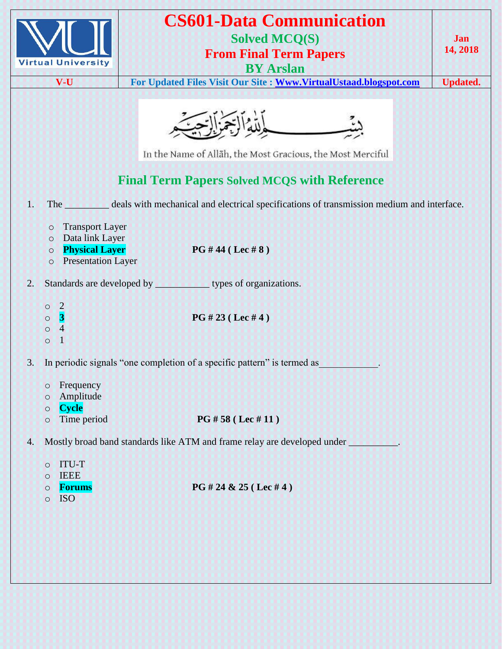

## **CS601-Data Communication Solved MCQ(S)**

**From Final Term Papers**

**BY Arslan**

**V-U For Updated Files Visit Our Site : [Www.VirtualUstaad.blogspot.com](http://www.virtualustaad.blogspot.com/) Updated.**

**Jan 14, 2018**



In the Name of Allāh, the Most Gracious, the Most Merciful

## **Final Term Papers Solved MCQS with Reference**

- 1. The \_\_\_\_\_\_\_\_\_ deals with mechanical and electrical specifications of transmission medium and interface.
	- o Transport Layer
	- o Data link Layer
	- o **Physical Layer PG # 44 ( Lec # 8 )**
	- o Presentation Layer

2. Standards are developed by **the same substantial standards** types of organizations.

- o 2 o **3 PG # 23 ( Lec # 4 )**
- o 4
- $\circ$  1

3. In periodic signals "one completion of a specific pattern" is termed as

- o Frequency
- o Amplitude
- o **Cycle**
- o Time period **PG # 58 ( Lec # 11 )**
- 4. Mostly broad band standards like ATM and frame relay are developed under
	- o ITU-T
	- o IEEE
	-
	- o ISO
	- o **Forums PG # 24 & 25 ( Lec # 4 )**
		-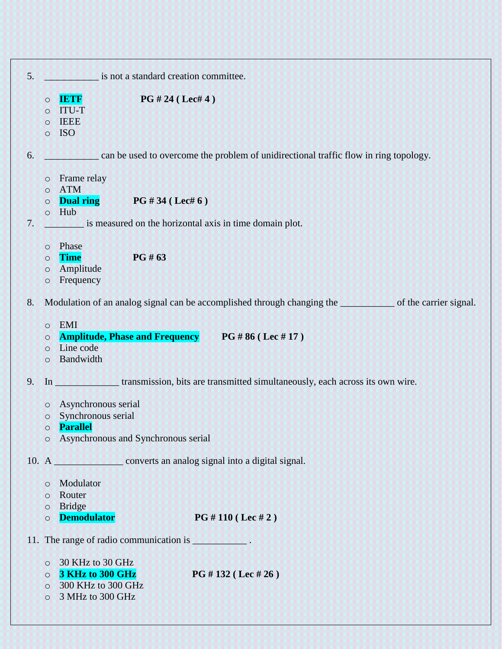| 5. | is not a standard creation committee.    |                                                                                                                                                                                            |  |
|----|------------------------------------------|--------------------------------------------------------------------------------------------------------------------------------------------------------------------------------------------|--|
|    | $\circ$<br>$\circ$<br>$\circ$<br>$\circ$ | PG # 24 (Let 4)<br><b>IETF</b><br><b>ITU-T</b><br><b>IEEE</b><br><b>ISO</b>                                                                                                                |  |
| 6. |                                          | can be used to overcome the problem of unidirectional traffic flow in ring topology.                                                                                                       |  |
| 7. | $\circ$<br>$\circ$<br>$\circ$<br>$\circ$ | Frame relay<br><b>ATM</b><br><b>Dual ring</b> $PG #34 (Let 6)$<br>Hub<br>is measured on the horizontal axis in time domain plot.<br><u>maman</u>                                           |  |
|    | $\circ$<br>$\circ$<br>$\circ$<br>$\circ$ | Phase<br>PG # 63<br><b>Time</b><br>Amplitude<br>Frequency                                                                                                                                  |  |
| 8. | $\circ$<br>$\circ$<br>$\circ$<br>$\circ$ | Modulation of an analog signal can be accomplished through changing the service of the carrier signal.<br>EMI<br>Amplitude, Phase and Frequency PG #86 (Lec #17)<br>Line code<br>Bandwidth |  |
| 9. |                                          | In <b>Example 2018</b> transmission, bits are transmitted simultaneously, each across its own wire.                                                                                        |  |
|    | $\circ$<br>$\circ$<br>$\circ$<br>$\circ$ | Asynchronous serial<br>Synchronous serial<br>Parallel<br>Asynchronous and Synchronous serial                                                                                               |  |
|    |                                          | 10. A <b>CONFIDENTIAL</b> converts an analog signal into a digital signal.                                                                                                                 |  |
|    | $\circ$<br>$\circ$<br>$\circ$<br>$\circ$ | Modulator<br>Router<br><b>Bridge</b><br><b>Demodulator</b><br>PG #110 (Lec #2)                                                                                                             |  |
|    |                                          | 11. The range of radio communication is <b>all the set of the set of radio communication</b> is                                                                                            |  |
|    | $\circ$<br>$\circ$<br>$\circ$<br>$\circ$ | 30 KHz to 30 GHz<br>3 KHz to 300 GHz<br>PG # 132 ( Lee # 26)<br>300 KHz to 300 GHz<br>3 MHz to 300 GHz                                                                                     |  |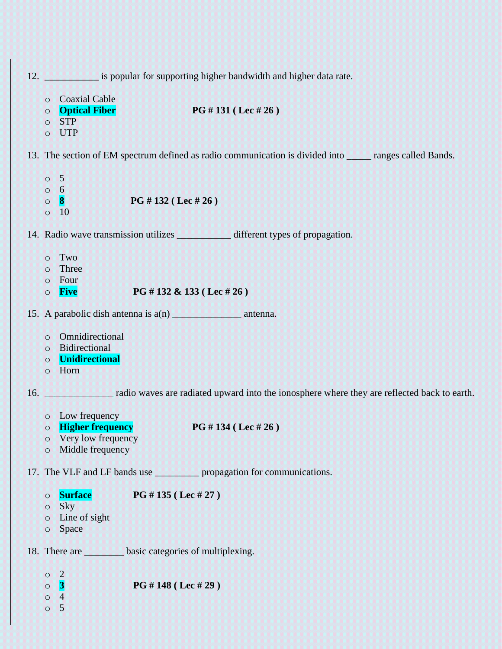|     | 12. is popular for supporting higher bandwidth and higher data rate.                                                                       |  |  |
|-----|--------------------------------------------------------------------------------------------------------------------------------------------|--|--|
|     | <b>Coaxial Cable</b><br>$\circ$<br><b>Optical Fiber</b><br>PG #131 (Lec #26)<br>$\circ$<br><b>STP</b><br>$\circ$<br><b>UTP</b><br>$\circ$  |  |  |
|     | 13. The section of EM spectrum defined as radio communication is divided into secretary ranges called Bands.                               |  |  |
|     | $\circ$ 5<br>$0\quad 6$<br>$\bf{8}$<br>PG #132 (Lec #26)<br>$\circ$<br><sup>10</sup><br>$\circ$                                            |  |  |
|     |                                                                                                                                            |  |  |
|     | Two<br>$\circ$<br>Three<br>$\circ$<br>Four<br>$\circ$<br>PG #132 & 133 (Lec #26)<br><b>Five</b><br>$\circ$                                 |  |  |
|     |                                                                                                                                            |  |  |
|     | Omnidirectional<br>$\circ$<br>o Bidirectional<br><b>Unidirectional</b><br>$\circ$<br>Horn<br>$\circ$                                       |  |  |
| 16. | radio waves are radiated upward into the ionosphere where they are reflected back to earth.                                                |  |  |
|     | o Low frequency<br>PG #134 (Lec #26)<br><b>Higher frequency</b><br>$\circ$<br>Very low frequency<br>$\circ$<br>Middle frequency<br>$\circ$ |  |  |
|     | 17. The VLF and LF bands use <u>reproprients</u> propagation for communications.                                                           |  |  |
|     | <b>Surface</b><br>PG #135 (Lec #27)<br>$\circ$<br>Sky<br>$\circ$<br>Line of sight<br>$\circ$<br>Space<br>$\circ$                           |  |  |
|     | 18. There are has basic categories of multiplexing.                                                                                        |  |  |
|     | $\overline{2}$<br>$\circ$<br>$\overline{\mathbf{3}}$<br>PG #148 (Lec #29)<br>$\circ$<br>$\overline{4}$<br>$\circ$<br>5<br>$\circ$          |  |  |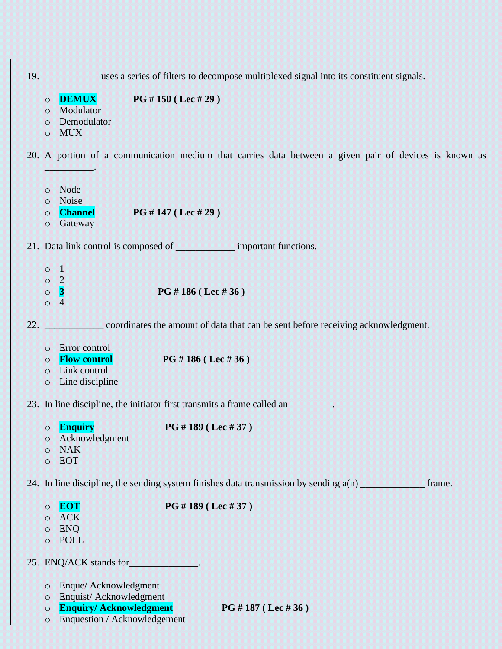|     | 19. Uses a series of filters to decompose multiplexed signal into its constituent signals.            |
|-----|-------------------------------------------------------------------------------------------------------|
|     | PG # 150 (Lec # 29)<br><b>DEMUX</b><br>$\circ$                                                        |
|     | Modulator<br>$\circ$                                                                                  |
|     | Demodulator<br>$\circ$                                                                                |
|     | <b>MUX</b><br>$\circ$                                                                                 |
|     |                                                                                                       |
|     | 20. A portion of a communication medium that carries data between a given pair of devices is known as |
|     | o Node                                                                                                |
|     | Noise<br>$\circ$                                                                                      |
|     | <b>Channel</b><br>PG # 147 ( Lee # 29)<br>$\circ$                                                     |
|     | Gateway<br>$\circ$                                                                                    |
|     |                                                                                                       |
|     | 21. Data link control is composed of _________________ important functions.                           |
|     | $\circ$ 1                                                                                             |
|     | $\circ$ 2                                                                                             |
|     | $\vert 3 \vert$<br>PG #186 (Lec #36)<br>$\circ$                                                       |
|     | $\circ$<br>$\overline{4}$                                                                             |
| 22. | coordinates the amount of data that can be sent before receiving acknowledgment.                      |
|     |                                                                                                       |
|     | Error control<br>$\circ$                                                                              |
|     | <b>Flow control</b><br>PG # 186 (Lec # 36)<br>$\circ$                                                 |
|     | Link control<br>$\circ$                                                                               |
|     | Line discipline<br>$\circ$                                                                            |
|     | 23. In line discipline, the initiator first transmits a frame called an _________.                    |
|     | <b>Enquiry</b><br>PG #189 (Lec #37)<br>$\circ$                                                        |
|     | Acknowledgment<br>$\circ$                                                                             |
|     | <b>NAK</b><br>$\circ$                                                                                 |
|     | <b>EOT</b><br>$\circ$                                                                                 |
|     |                                                                                                       |
|     | 24. In line discipline, the sending system finishes data transmission by sending $a(n)$<br>frame.     |
|     | PG #189 (Lec #37)<br><b>EOT</b><br>$\circ$                                                            |
|     | <b>ACK</b><br>$\circ$                                                                                 |
|     | <b>ENO</b><br>$\circ$                                                                                 |
|     | <b>POLL</b><br>$\circ$                                                                                |
|     |                                                                                                       |
|     | 25. ENQ/ACK stands for<br>والمستحدث والمستحدث                                                         |
|     | Enque/ Acknowledgment<br>$\circ$                                                                      |
|     | Enquist/Acknowledgment<br>$\circ$                                                                     |
|     | <b>Enquiry/Acknowledgment</b><br>PG # 187 (Lec # 36)<br>$\circ$                                       |
|     | Enquestion / Acknowledgement<br>$\circ$                                                               |
|     |                                                                                                       |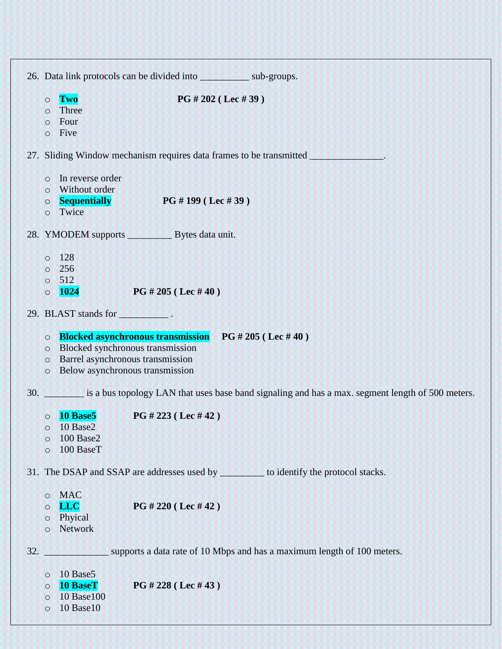| 26. Data link protocols can be divided into sub-groups.                                                                                                                                                                            |
|------------------------------------------------------------------------------------------------------------------------------------------------------------------------------------------------------------------------------------|
| PG # 202 ( Lee # 39)<br>Two<br>$\circ$<br>Three<br>$\circ$<br>Four<br>$\circ$<br>Five<br>$\circ$                                                                                                                                   |
| 27. Sliding Window mechanism requires data frames to be transmitted <b>with a strategy of the strategy</b> of the control of the control of the control of the control of the control of the control of the control of the control |
| In reverse order<br>$\circ$<br>Without order<br>$\circ$<br><b>Sequentially</b><br>PG # 199 ( Lee # 39)<br>$\circ$<br>Twice<br>$\circ$                                                                                              |
| 28. YMODEM supports Bytes data unit.                                                                                                                                                                                               |
| 128<br>$\circ$<br>256<br>$\circ$<br>512<br>$\circ$<br>$\blacksquare$ 1024<br>PG # 205 ( Lee # 40)<br>$\circ$                                                                                                                       |
| 29. BLAST stands for 1997.                                                                                                                                                                                                         |
| <b>Blocked asynchronous transmission</b> PG # 205 (Lec # 40)<br>$\circ$<br>Blocked synchronous transmission<br>$\circ$<br>Barrel asynchronous transmission<br>$\circ$<br>Below asynchronous transmission<br>$\circ$                |
| 30. is a bus topology LAN that uses base band signaling and has a max. segment length of 500 meters.                                                                                                                               |
| <b>PG</b> # 223 (Lec # 42)<br>10 Base5<br>$\circ$<br>o 10 Base2<br><b>100 Base2</b><br>$\circ$<br>100 BaseT<br>$\circ$                                                                                                             |
| 31. The DSAP and SSAP are addresses used by ___________ to identify the protocol stacks.                                                                                                                                           |
| <b>MAC</b><br>$\circ$<br><b>LLC</b><br>PG # 220 (Lec # 42)<br>$\circ$<br>Phyical<br>$\circ$<br>Network<br>$\circ$                                                                                                                  |
| supports a data rate of 10 Mbps and has a maximum length of 100 meters.<br>32.                                                                                                                                                     |
| 10 Base5<br>$\circ$<br>PG # 228 (Lec # 43)<br><b>10 BaseT</b><br>$\circ$<br>10 Base 100<br>$\circ$<br><b>10 Base10</b><br>$\circ$                                                                                                  |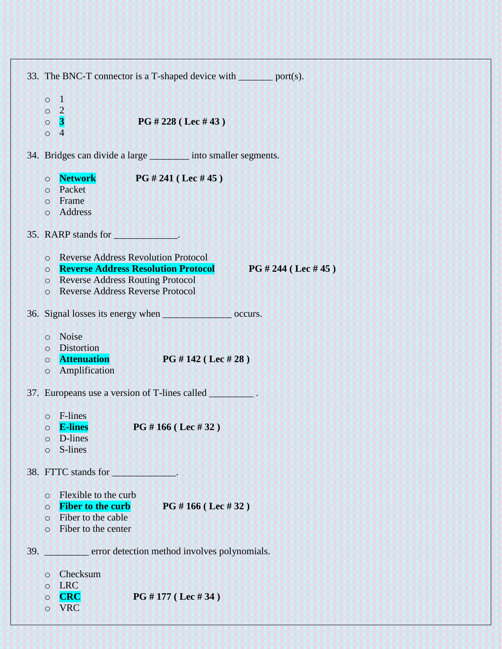| 33. The BNC-T connector is a T-shaped device with <u>same</u> port(s).                                                                                                                                                                             |  |  |  |
|----------------------------------------------------------------------------------------------------------------------------------------------------------------------------------------------------------------------------------------------------|--|--|--|
| $\vert$ 1<br>$\circ$<br>$\overline{2}$<br>$\circ$<br>$\overline{\mathbf{3}}$<br>PG # 228 ( Lee # 43)<br>$\circ$<br>$\overline{4}$<br>$\circ$                                                                                                       |  |  |  |
| 34. Bridges can divide a large _________ into smaller segments.                                                                                                                                                                                    |  |  |  |
| <b>Network PG #241 (Lec #45)</b><br>$\circ$<br>Packet<br>$\circ$<br>Frame<br>$\circ$<br>Address<br>$\circ$                                                                                                                                         |  |  |  |
|                                                                                                                                                                                                                                                    |  |  |  |
| <b>Reverse Address Revolution Protocol</b><br>$\circ$<br><b>Reverse Address Resolution Protocol</b><br>PG # 244 ( Lee # 45)<br>$\circ$<br><b>Reverse Address Routing Protocol</b><br>$\circ$<br><b>Reverse Address Reverse Protocol</b><br>$\circ$ |  |  |  |
| 36. Signal losses its energy when services are occurs.                                                                                                                                                                                             |  |  |  |
| Noise<br>$\circ$<br><b>Distortion</b><br>$\circ$<br><b>Attenuation</b><br>PG # 142 ( Lee # 28)<br>$\circ$<br>Amplification<br>$\circ$                                                                                                              |  |  |  |
| 37. Europeans use a version of T-lines called _________.                                                                                                                                                                                           |  |  |  |
| F-lines<br>$\circ$<br><b>O</b> E-lines<br>PG # 166 (Lec # 32)<br>D-lines<br>$\circ$<br>S-lines<br>$\circ$                                                                                                                                          |  |  |  |
|                                                                                                                                                                                                                                                    |  |  |  |
| Flexible to the curb<br>$\circ$<br><b>Fiber to the curb</b><br>PG #166 (Lec #32)<br>$\circ$<br>Fiber to the cable<br>$\circ$<br>Fiber to the center<br>$\circ$                                                                                     |  |  |  |
| error detection method involves polynomials.<br>39.                                                                                                                                                                                                |  |  |  |
| Checksum<br>$\circ$<br><b>LRC</b><br>$\circ$<br>PG #177 (Lec #34)<br><b>CRC</b><br>$\circ$<br><b>VRC</b><br>$\circ$                                                                                                                                |  |  |  |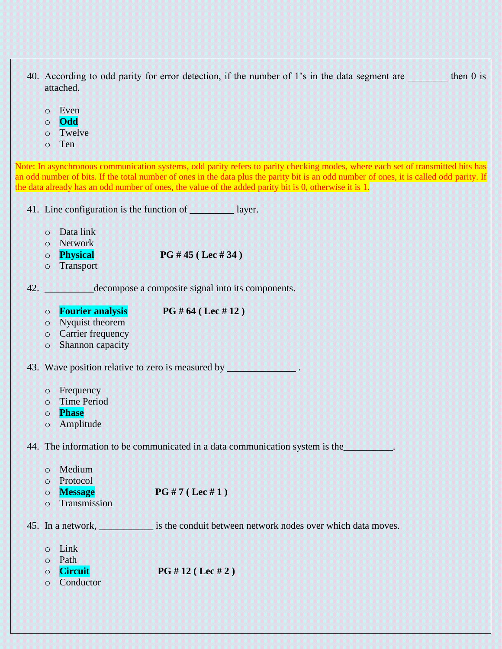- 40. According to odd parity for error detection, if the number of 1's in the data segment are then 0 is attached.
	- o Even
	- o **Odd**
	- o Twelve
	- o Ten

Note: In asynchronous communication systems, odd parity refers to parity checking modes, where each set of transmitted bits has an odd number of bits. If the total number of ones in the data plus the parity bit is an odd number of ones, it is called odd parity. If the data already has an odd number of ones, the value of the added parity bit is 0, otherwise it is 1.

41. Line configuration is the function of **with an alleger**.

- o Data link
- o Network
- o **Physical PG # 45 ( Lec # 34 )**
- o Transport

42. **Example 2.** decompose a composite signal into its components.

o **Fourier analysis PG # 64 ( Lec # 12 )**

- o Nyquist theorem
- o Carrier frequency
- o Shannon capacity

43. Wave position relative to zero is measured by **All Constantino and All Constantino and All Constantino and A** 

- o Frequency
- o Time Period
- o **Phase**
- o Amplitude

44. The information to be communicated in a data communication system is the\_\_\_\_\_\_\_\_\_\_.

| $\Omega$  | Medium            |                                                             |
|-----------|-------------------|-------------------------------------------------------------|
| $\circ$   | Protocol          |                                                             |
| $\circ$   | <b>Message</b>    | $PG#7 ($ Lec #1)                                            |
| $\Omega$  | Transmission      |                                                             |
|           | 45. In a network, | is the conduit between network nodes over which data moves. |
| $\bigcap$ | Link              |                                                             |
| $\Omega$  | Path              |                                                             |
| ∩         | Circuit           | PG # 12 ( Lee # 2)                                          |

o Conductor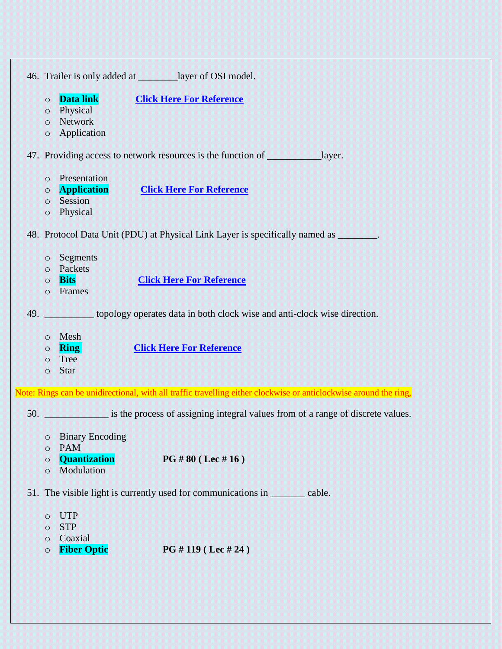46. Trailer is only added at \_\_\_\_\_\_\_\_layer of OSI model.

- o **Data link [Click Here For Reference](https://technet.microsoft.com/en-us/library/cc977591.aspx)**
- o Physical
- o Network
- o Application

47. Providing access to network resources is the function of **Election** layer.

- o Presentation
- o **Application [Click Here For Reference](https://study.com/academy/lesson/transport-layer-of-the-osi-model-functions-security-protocol.html)**
- o Session
- o Physical

48. Protocol Data Unit (PDU) at Physical Link Layer is specifically named as \_\_\_\_\_\_\_\_.

- o Segments
- o Packets
- o **Bits [Click Here For Reference](https://techterms.com/definition/pdu)**
- o Frames

49. \_\_\_\_\_\_\_\_\_\_ topology operates data in both clock wise and anti-clock wise direction.

- o Mesh
- o **Ring [Click Here For Reference](https://en.wikipedia.org/wiki/Ring_network)**
- o Tree
- o Star

Note: Rings can be unidirectional, with all traffic travelling either clockwise or anticlockwise around the ring,

50. \_\_\_\_\_\_\_\_\_\_\_\_\_ is the process of assigning integral values from of a range of discrete values.

- o Binary Encoding
- o PAM
- o **Quantization PG # 80 ( Lec # 16 )**
- o Modulation

51. The visible light is currently used for communications in earliering cable.

- o UTP
- o STP
- o Coaxial
- o **Fiber Optic PG # 119 ( Lec # 24 )**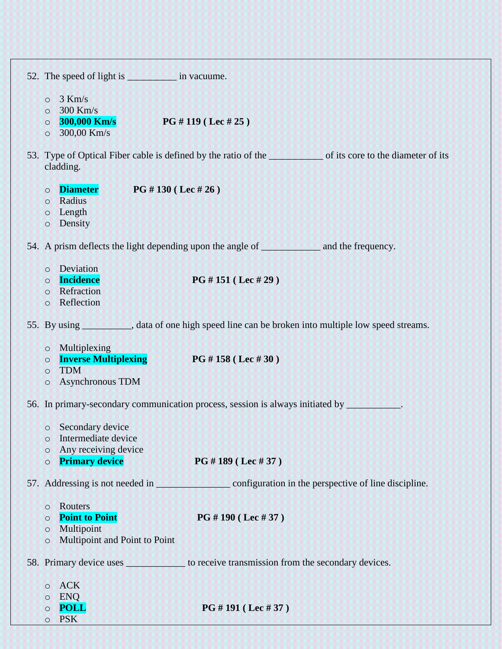| 52. The speed of light is see in vacuume.                                                                                                  |                                                                                                         |
|--------------------------------------------------------------------------------------------------------------------------------------------|---------------------------------------------------------------------------------------------------------|
| $3$ Km/s<br>$\circ$<br>$300$ Km/s<br>$\circ$<br><b>300,000 Km/s</b><br>$\circ$<br>300,00 Km/s<br>$\circ$                                   | PG # 119 ( Lee # 25)                                                                                    |
| cladding.                                                                                                                                  | 53. Type of Optical Fiber cable is defined by the ratio of the same of its core to the diameter of its  |
| <b>Diameter</b><br><b>PG</b> # 130 (Lec # 26)<br>$\circ$<br>Radius<br>$\circ$<br>o Length<br>Density<br>$\circ$                            |                                                                                                         |
|                                                                                                                                            | 54. A prism deflects the light depending upon the angle of <b>a container and the frequency</b> .       |
| Deviation<br>$\circ$<br>Incidence<br>$\circ$<br>Refraction<br>$\circ$<br>Reflection<br>$\circ$                                             | PG #151 (Lec #29)                                                                                       |
|                                                                                                                                            | 55. By using ___________, data of one high speed line can be broken into multiple low speed streams.    |
| Multiplexing<br>$\circ$<br><b>Inverse Multiplexing and Lines</b><br>$\circ$<br><b>TDM</b><br>$\circ$<br><b>Asynchronous TDM</b><br>$\circ$ | PG #158 (Lec #30)                                                                                       |
|                                                                                                                                            | 56. In primary-secondary communication process, session is always initiated by ________                 |
| Secondary device<br>O<br>Intermediate device<br>O<br>Any receiving device<br>O<br><b>Primary device</b><br>$\circ$                         | PG # 189 ( Lee # 37)                                                                                    |
|                                                                                                                                            | 57. Addressing is not needed in <u>example and configuration</u> in the perspective of line discipline. |
| Routers<br>$\circ$<br><b>Point to Point</b><br>$\circ$<br>Multipoint<br>$\circ$<br>Multipoint and Point to Point<br>$\circ$                | PG # 190 ( Lee # 37)                                                                                    |
|                                                                                                                                            | 58. Primary device uses the secondary devices.                                                          |
| <b>ACK</b><br>$\circ$<br><b>ENQ</b><br>$\circ$<br><b>POLL</b><br>O<br><b>PSK</b><br>$\circ$                                                | PG #191 (Lec #37)                                                                                       |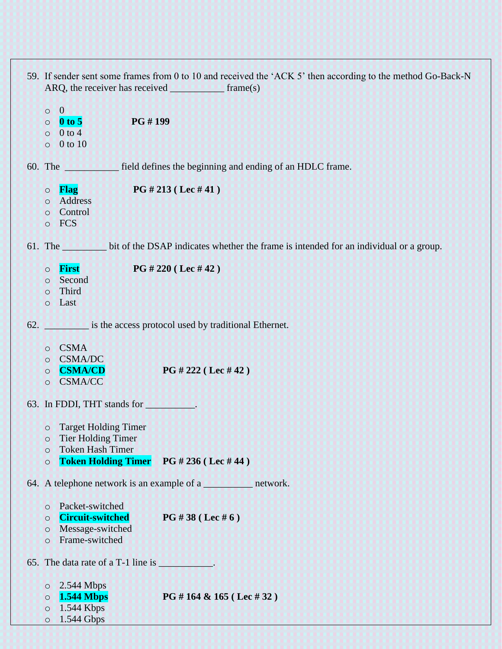| 59. If sender sent some frames from 0 to 10 and received the 'ACK 5' then according to the method Go-Back-N |                                                                                                                   |                                                                                               |  |
|-------------------------------------------------------------------------------------------------------------|-------------------------------------------------------------------------------------------------------------------|-----------------------------------------------------------------------------------------------|--|
| $\circ$<br>$\circ$<br>$\circ$<br>$\circ$                                                                    | $\mathbf{0}$<br>PG #199<br>$\boldsymbol{0}$ to 5<br>$0$ to $4$<br>0 to 10                                         |                                                                                               |  |
|                                                                                                             |                                                                                                                   | 60. The _____________ field defines the beginning and ending of an HDLC frame.                |  |
| $\circ$<br>$\circ$<br>$\circ$<br>$\circ$                                                                    | Flag<br>Address<br>Control<br><b>FCS</b>                                                                          | PG # 213 ( Lee # 41)                                                                          |  |
|                                                                                                             |                                                                                                                   | 61. The bit of the DSAP indicates whether the frame is intended for an individual or a group. |  |
| $\circ$<br>$\circ$<br>$\circ$<br>$\circ$                                                                    | First<br>Second<br>Third<br>Last                                                                                  | PG # 220 ( Lee # 42)                                                                          |  |
|                                                                                                             |                                                                                                                   | 62. is the access protocol used by traditional Ethernet.                                      |  |
| $\circ$<br>$\circ$<br>$\circ$<br>$\circ$                                                                    | <b>CSMA</b><br><b>CSMA/DC</b><br><b>CSMA/CD</b><br><b>CSMA/CC</b>                                                 | PG # 222 ( Lee # 42)                                                                          |  |
|                                                                                                             | 63. In FDDI, THT stands for                                                                                       |                                                                                               |  |
| $\circ$<br>$\circ$<br>$\circ$<br>$\circ$                                                                    | <b>Target Holding Timer</b><br><b>Tier Holding Timer</b><br><b>Token Hash Timer</b><br><b>Token Holding Timer</b> | PG # 236 ( Lee # 44)                                                                          |  |
|                                                                                                             |                                                                                                                   | 64. A telephone network is an example of a _____________ network.                             |  |
| $\circ$<br>$\circ$<br>$\circ$<br>$\circ$                                                                    | Packet-switched<br><b>Circuit-switched</b><br>Message-switched<br>Frame-switched                                  | PG #38 (Lec #6)                                                                               |  |
|                                                                                                             | 65. The data rate of a T-1 line is ___________.                                                                   |                                                                                               |  |
| $\circ$<br>$\circ$<br>$\circ$<br>$\circ$                                                                    | 2.544 Mbps<br><b>1.544 Mbps</b><br>1.544 Kbps<br>1.544 Gbps                                                       | PG # 164 & 165 (Lec # 32)                                                                     |  |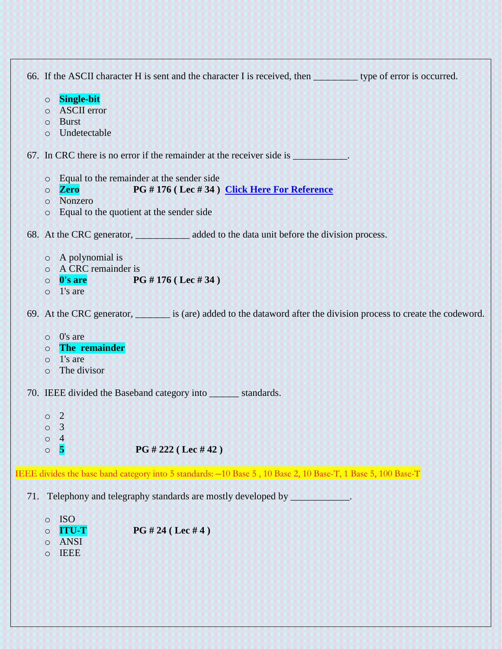66. If the ASCII character H is sent and the character I is received, then \_\_\_\_\_\_\_\_\_ type of error is occurred. o **Single-bit** o ASCII error o Burst o Undetectable 67. In CRC there is no error if the remainder at the receiver side is \_\_\_\_\_\_\_\_\_\_. o Equal to the remainder at the sender side o **Zero PG # 176 ( Lec # 34 ) [Click Here For Reference](http://ecomputernotes.com/computernetworkingnotes/communication-networks/cyclic-redundancy-check)** o Nonzero o Equal to the quotient at the sender side 68. At the CRC generator, and added to the data unit before the division process. o A polynomial is o A CRC remainder is o **0's are PG # 176 ( Lec # 34 )**  $\circ$  1's are 69. At the CRC generator, \_\_\_\_\_\_\_ is (are) added to the dataword after the division process to create the codeword. o 0's are o **The remainder** o 1's are o The divisor 70. IEEE divided the Baseband category into \_\_\_\_\_\_ standards. o 2 o 3 o 4 o **5 PG # 222 ( Lec # 42 )** IEEE divides the base band category into 5 standards: –10 Base 5 , 10 Base 2, 10 Base-T, 1 Base 5, 100 Base-T 71. Telephony and telegraphy standards are mostly developed by **with an extending the standards**. o ISO o **ITU-T PG # 24 ( Lec # 4 )** o ANSI

o IEEE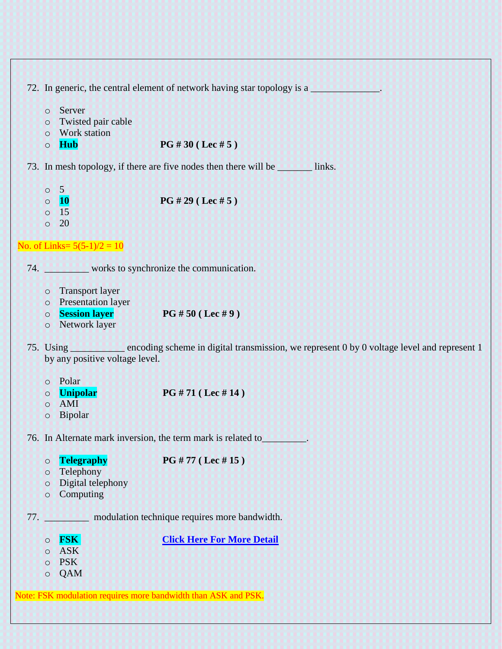|  |  | 72. In generic, the central element of network having star topology is a |  |
|--|--|--------------------------------------------------------------------------|--|
|  |  |                                                                          |  |

- o Server
- o Twisted pair cable
- o Work station
- o **Hub PG # 30 ( Lec # 5 )**

73. In mesh topology, if there are five nodes then there will be \_\_\_\_\_\_\_\_ links.

- o 5
- o **10 PG # 29 ( Lec # 5 )**
- o 15  $\circ$  20

```
No. of Links= 5(5-1)/2 = 10
```
74. **works** to synchronize the communication.

- o Transport layer
- o Presentation layer
- o **Session layer PG # 50 ( Lec # 9 )**
- o Network layer
- 75. Using encoding scheme in digital transmission, we represent 0 by 0 voltage level and represent 1 by any positive voltage level.
	- o Polar
	- o **Unipolar PG # 71 ( Lec # 14 )**
	- o AMI
	- o Bipolar

76. In Alternate mark inversion, the term mark is related to\_\_\_\_\_\_\_\_\_.

o **Telegraphy PG # 77 ( Lec # 15 )**

- o Telephony
- o Digital telephony
- o Computing

77. \_\_\_\_\_\_\_\_\_ modulation technique requires more bandwidth.

o **FSK [Click Here For More Detail](http://highered.mheducation.com/sites/0072967757/student_view0/chapter5/index.html)** o ASK o PSK o QAM

Note: FSK modulation requires more bandwidth than ASK and PSK.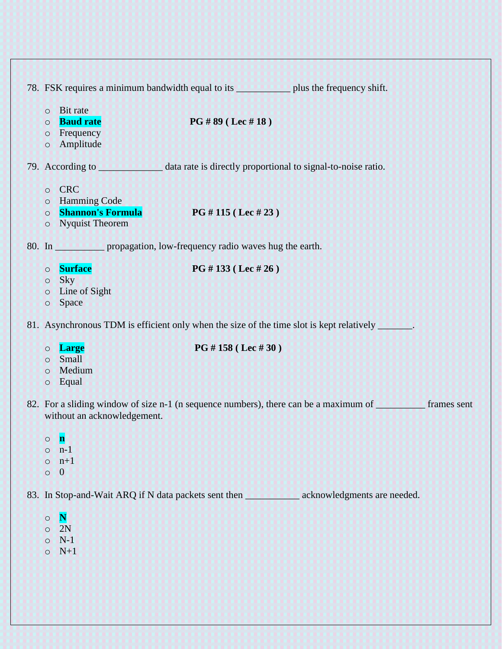|                                                                                                                                     | 78. FSK requires a minimum bandwidth equal to its _________________ plus the frequency shift.                |  |  |  |
|-------------------------------------------------------------------------------------------------------------------------------------|--------------------------------------------------------------------------------------------------------------|--|--|--|
| <b>Bit rate</b><br>$\circ$<br><b>Baud rate</b><br>$\circ$<br>Frequency<br>$\circ$<br>Amplitude<br>$\circ$                           | PG #89 ( Lee #18)                                                                                            |  |  |  |
|                                                                                                                                     |                                                                                                              |  |  |  |
| <b>CRC</b><br>$\circ$<br><b>Hamming Code</b><br>$\circ$<br><b>Shannon's Formula</b><br>$\circ$<br><b>Nyquist Theorem</b><br>$\circ$ | PG # 115 ( Lee # 23)                                                                                         |  |  |  |
| 80. In ______________ propagation, low-frequency radio waves hug the earth.                                                         |                                                                                                              |  |  |  |
| <b>Surface</b><br>$\circ$<br><b>Sky</b><br>$\circ$<br>Line of Sight<br>$\circ$<br>Space<br>$\circ$                                  | PG # 133 ( Lee # 26)                                                                                         |  |  |  |
|                                                                                                                                     | 81. Asynchronous TDM is efficient only when the size of the time slot is kept relatively _______.            |  |  |  |
| <b>Large</b><br>$\circ$<br><b>Small</b><br>$\circ$<br>Medium<br>$\circ$<br>Equal<br>$\circ$                                         | PG # 158 (Lec # 30)                                                                                          |  |  |  |
| without an acknowledgement.                                                                                                         | 82. For a sliding window of size n-1 (n sequence numbers), there can be a maximum of ___________ frames sent |  |  |  |
| $\mathbf n$<br>$\circ$<br>$n-1$<br>$\circ$<br>$n+1$<br>$\circ$<br>$\overline{0}$<br>$\circ$                                         |                                                                                                              |  |  |  |
|                                                                                                                                     |                                                                                                              |  |  |  |
| $\mathbf N$<br>$\circ$<br>2N<br>$\circ$<br>$N-1$<br>$\circ$<br>$N+1$<br>$\circ$                                                     |                                                                                                              |  |  |  |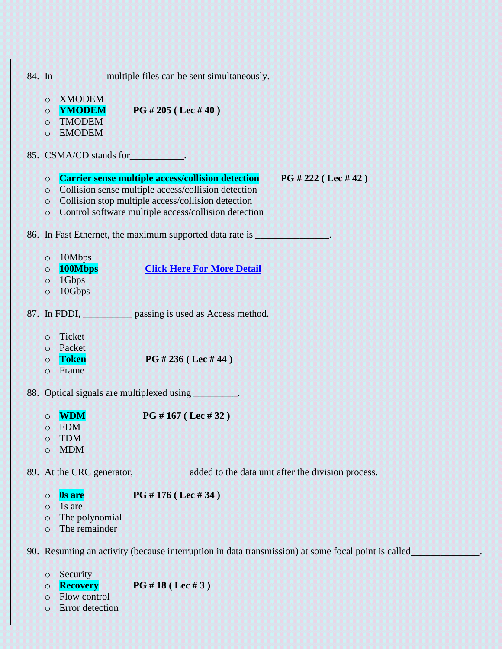84. In \_\_\_\_\_\_\_\_\_\_\_\_\_ multiple files can be sent simultaneously. o XMODEM o **YMODEM PG # 205 ( Lec # 40 )** o TMODEM o EMODEM 85. CSMA/CD stands for\_\_\_\_\_\_\_\_\_\_\_. o **Carrier sense multiple access/collision detection PG # 222 ( Lec # 42 )** o Collision sense multiple access/collision detection o Collision stop multiple access/collision detection o Control software multiple access/collision detection 86. In Fast Ethernet, the maximum supported data rate is \_\_\_\_\_\_\_\_\_\_\_\_\_\_\_. o 10Mbps o **100Mbps [Click Here For More Detail](https://en.wikipedia.org/wiki/Fast_Ethernet)** o 1Gbps o 10Gbps 87. In FDDI, passing is used as Access method. o Ticket o Packet o **Token PG # 236 ( Lec # 44 )** o Frame 88. Optical signals are multiplexed using \_\_\_\_\_\_\_\_. o **WDM PG # 167 ( Lec # 32 )** o FDM o TDM o MDM 89. At the CRC generator, \_\_\_\_\_\_\_\_\_\_\_\_ added to the data unit after the division process. o **0s are PG # 176 ( Lec # 34 )** o 1s are o The polynomial o The remainder 90. Resuming an activity (because interruption in data transmission) at some focal point is called\_\_\_\_\_\_\_\_\_\_\_\_\_\_. o Security o **Recovery PG # 18 ( Lec # 3 )** o Flow control

o Error detection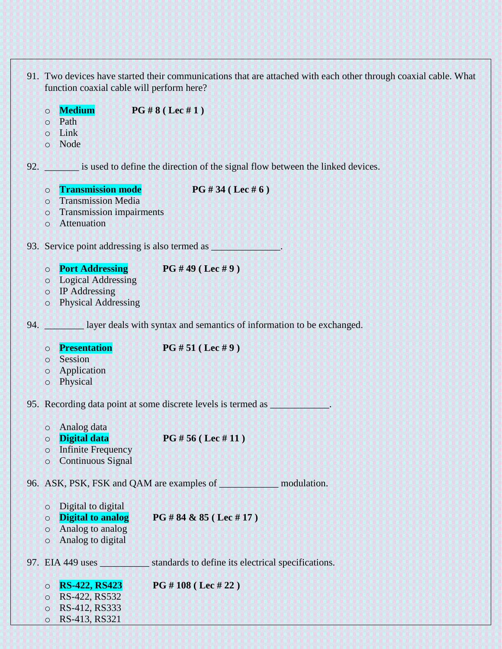|     |         | function coaxial cable will perform here? | 91. Two devices have started their communications that are attached with each other through coaxial cable. What                                                                                                                |
|-----|---------|-------------------------------------------|--------------------------------------------------------------------------------------------------------------------------------------------------------------------------------------------------------------------------------|
|     | $\circ$ | <b>Medium</b>                             | PG # 8 (Lec # 1)                                                                                                                                                                                                               |
|     | $\circ$ | Path                                      |                                                                                                                                                                                                                                |
|     | $\circ$ | Link                                      |                                                                                                                                                                                                                                |
|     | $\circ$ | Node                                      |                                                                                                                                                                                                                                |
|     |         |                                           | 92. is used to define the direction of the signal flow between the linked devices.                                                                                                                                             |
|     | $\circ$ | <b>Transmission mode</b>                  | PG #34 (Lec #6)                                                                                                                                                                                                                |
|     | $\circ$ | <b>Transmission Media</b>                 |                                                                                                                                                                                                                                |
|     | $\circ$ | <b>Transmission impairments</b>           |                                                                                                                                                                                                                                |
|     | $\circ$ | Attenuation                               |                                                                                                                                                                                                                                |
|     |         |                                           | 93. Service point addressing is also termed as service point and all the service point and service point and service point and service point and service point and service point and service point and service point and servi |
|     | $\circ$ |                                           | <b>Port Addressing</b> PG $#49$ (Lec $#9$ )                                                                                                                                                                                    |
|     | $\circ$ | <b>Logical Addressing</b>                 |                                                                                                                                                                                                                                |
|     |         | $\circ$ IP Addressing                     |                                                                                                                                                                                                                                |
|     | $\circ$ | <b>Physical Addressing</b>                |                                                                                                                                                                                                                                |
| 94. |         |                                           | layer deals with syntax and semantics of information to be exchanged.                                                                                                                                                          |
|     | $\circ$ | <b>Presentation</b>                       | PG # 51 ( Lee # 9)                                                                                                                                                                                                             |
|     | $\circ$ | Session                                   |                                                                                                                                                                                                                                |
|     | $\circ$ | Application                               |                                                                                                                                                                                                                                |
|     | $\circ$ | Physical                                  |                                                                                                                                                                                                                                |
|     |         |                                           | 95. Recording data point at some discrete levels is termed as ____________.                                                                                                                                                    |
|     |         | o Analog data                             |                                                                                                                                                                                                                                |
|     | $\circ$ | <b>Digital data</b>                       | PG # 56 (Lec # 11)                                                                                                                                                                                                             |
|     | $\circ$ | <b>Infinite Frequency</b>                 |                                                                                                                                                                                                                                |
|     | $\circ$ | <b>Continuous Signal</b>                  |                                                                                                                                                                                                                                |
|     |         |                                           | 96. ASK, PSK, FSK and QAM are examples of subsequently assumed to modulation.                                                                                                                                                  |
|     | $\circ$ | Digital to digital                        |                                                                                                                                                                                                                                |
|     | $\circ$ | <b>Digital to analog</b>                  | PG #84 & 85 (Lec #17)                                                                                                                                                                                                          |
|     | $\circ$ | Analog to analog                          |                                                                                                                                                                                                                                |
|     | $\circ$ | Analog to digital                         |                                                                                                                                                                                                                                |
|     |         |                                           | 97. EIA 449 uses ______________ standards to define its electrical specifications.                                                                                                                                             |
|     | $\circ$ | <b>RS-422, RS423</b>                      | PG # 108 ( Lee # 22)                                                                                                                                                                                                           |
|     | $\circ$ | RS-422, RS532                             |                                                                                                                                                                                                                                |
|     | $\circ$ | RS-412, RS333                             |                                                                                                                                                                                                                                |

o RS-413, RS321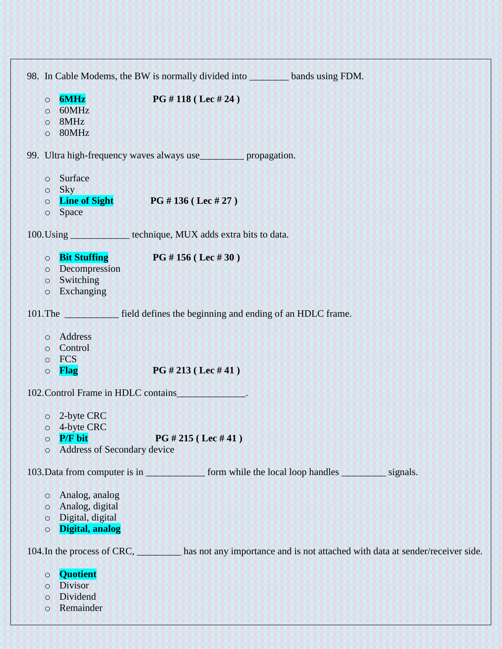|                    | 98. In Cable Modems, the BW is normally divided into _________ bands using FDM. |                                                                                                           |
|--------------------|---------------------------------------------------------------------------------|-----------------------------------------------------------------------------------------------------------|
| $\circ$            | <b>6MHz</b><br>PG # 118 (Lec # 24)                                              |                                                                                                           |
| $\circ$<br>$\circ$ | 60MHz<br>8MHz                                                                   |                                                                                                           |
| $\circ$            | 80MHz                                                                           |                                                                                                           |
|                    | 99. Ultra high-frequency waves always use___________ propagation.               |                                                                                                           |
| $\circ$            | Surface                                                                         |                                                                                                           |
| $\circ$            | Sky                                                                             |                                                                                                           |
| $\circ$            | <b>Line of Sight</b><br><b>PG</b> # 136 (Lec # 27)<br>Space                     |                                                                                                           |
| $\circ$            |                                                                                 |                                                                                                           |
|                    | 100. Using ________________ technique, MUX adds extra bits to data.             |                                                                                                           |
| $\circ$            | <b>Bit Stuffing</b><br><b>PG</b> # 156 (Lec # 30)                               |                                                                                                           |
| $\circ$            | Decompression                                                                   |                                                                                                           |
| $\circ$<br>$\circ$ | Switching<br>Exchanging                                                         |                                                                                                           |
|                    |                                                                                 |                                                                                                           |
|                    | 101. The field defines the beginning and ending of an HDLC frame.               |                                                                                                           |
|                    | o Address                                                                       |                                                                                                           |
|                    | o Control                                                                       |                                                                                                           |
| $\circ$            | FCS                                                                             |                                                                                                           |
| $\circ$            | PG # 213 (Lec # 41)<br><b>Flag</b>                                              |                                                                                                           |
|                    | 102. Control Frame in HDLC contains                                             |                                                                                                           |
|                    | o 2-byte CRC                                                                    |                                                                                                           |
| $\circ$            | 4-byte CRC                                                                      |                                                                                                           |
| $\circ$            | <b>P/F</b> bit<br>PG # 215 ( Lee # 41)                                          |                                                                                                           |
| $\circ$            | Address of Secondary device                                                     |                                                                                                           |
|                    |                                                                                 | 103. Data from computer is in <u>second</u> form while the local loop handles signals.                    |
| $\circ$            | Analog, analog                                                                  |                                                                                                           |
| $\circ$            | Analog, digital                                                                 |                                                                                                           |
| $\circ$<br>$\circ$ | Digital, digital<br>Digital, analog                                             |                                                                                                           |
|                    |                                                                                 |                                                                                                           |
|                    |                                                                                 | 104. In the process of CRC, has not any importance and is not attached with data at sender/receiver side. |
| $\circ$            | <b>Quotient</b>                                                                 |                                                                                                           |
| $\circ$            | <b>Divisor</b>                                                                  |                                                                                                           |
| $\circ$            | Dividend                                                                        |                                                                                                           |

o Remainder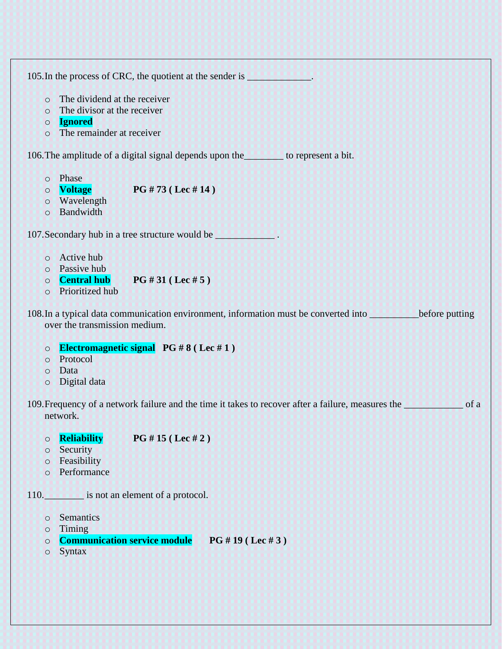105. In the process of CRC, the quotient at the sender is \_\_\_\_\_\_\_\_\_\_\_\_\_\_.

- o The dividend at the receiver
- o The divisor at the receiver
- o **Ignored**
- o The remainder at receiver

106.The amplitude of a digital signal depends upon the\_\_\_\_\_\_\_\_ to represent a bit.

- o Phase
- o **Voltage PG # 73 ( Lec # 14 )**
- o Wavelength
- o Bandwidth

107. Secondary hub in a tree structure would be  $\blacksquare$ 

- o Active hub
- o Passive hub
- o **Central hub PG # 31 ( Lec # 5 )**
- o Prioritized hub

108.In a typical data communication environment, information must be converted into \_\_\_\_\_\_\_\_\_\_before putting over the transmission medium.

## o **Electromagnetic signal PG # 8 ( Lec # 1 )**

- o Protocol
- o Data
- o Digital data

109.Frequency of a network failure and the time it takes to recover after a failure, measures the \_\_\_\_\_\_\_\_\_\_\_\_ of a network.

- o **Reliability PG # 15 ( Lec # 2 )**
- o Security
- o Feasibility
- o Performance
- 110. **is not an element of a protocol.** 
	- o Semantics
	- o Timing
	- o **Communication service module PG # 19 ( Lec # 3 )**
	- o Syntax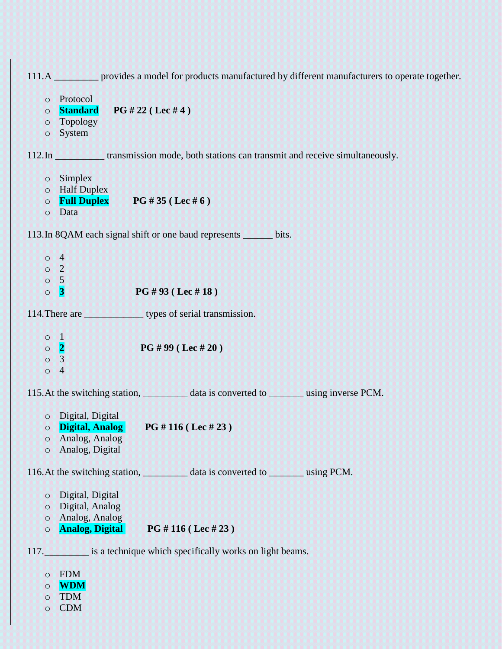| 111.A <u>we are provided</u> a model for products manufactured by different manufacturers to operate together. |
|----------------------------------------------------------------------------------------------------------------|
| o Protocol                                                                                                     |
| <b>Standard</b><br>PG # 22 (Lee # 4)<br>$\circ$                                                                |
| <b>Topology</b><br>$\circ$                                                                                     |
| System<br>$\circ$                                                                                              |
|                                                                                                                |
| $\circ$ Simplex                                                                                                |
| o Half Duplex                                                                                                  |
| <b>Full Duplex</b> PG # 35 (Lec # $6$ )<br>$\circ$                                                             |
| Data<br>$\circ$                                                                                                |
| 113. In 8QAM each signal shift or one baud represents _______ bits.                                            |
| $\circ$ 4                                                                                                      |
| $\circ$ 2                                                                                                      |
| $\circ$ 5                                                                                                      |
| PG #93 ( Lee #18)<br>$\vert 3 \vert$<br>$\circ$                                                                |
|                                                                                                                |
|                                                                                                                |
| $\circ$ 1                                                                                                      |
| $\circ$ 2 $\bullet$<br>PG #99 ( Lee #20)                                                                       |
| $\circ$<br>$\overline{3}$                                                                                      |
| $\circ$<br>$\overline{4}$                                                                                      |
|                                                                                                                |
| O Digital, Digital                                                                                             |
| Digital, Analog<br><b>PG</b> # 116 (Lec # 23)<br>$\circ$                                                       |
| Analog, Analog<br>$\circ$                                                                                      |
| Analog, Digital<br>$\circ$                                                                                     |
| 116. At the switching station, _____________ data is converted to __________ using PCM.                        |
|                                                                                                                |
| Digital, Digital<br>$\circ$                                                                                    |
| Digital, Analog<br>$\circ$                                                                                     |
| Analog, Analog<br>$\circ$                                                                                      |
| <b>Analog, Digital</b><br>PG # 116 ( Lee # 23)<br>$\circ$                                                      |
| 117. is a technique which specifically works on light beams.                                                   |
| <b>FDM</b><br>$\circ$                                                                                          |
| <b>WDM</b><br>$\circ$                                                                                          |
| <b>TDM</b><br>$\circ$                                                                                          |
| <b>CDM</b><br>$\circ$                                                                                          |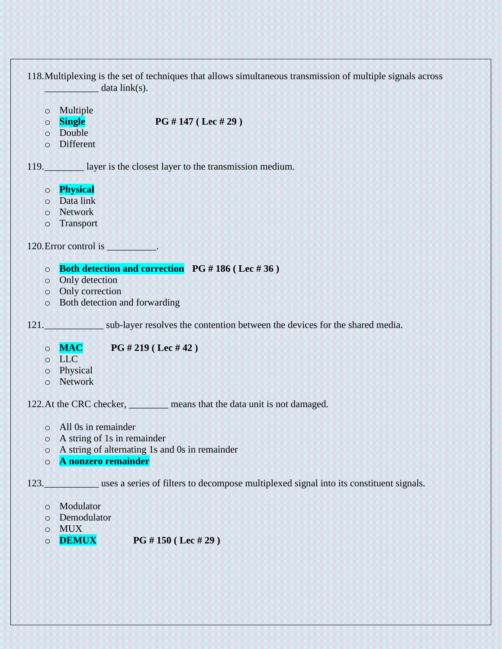118.Multiplexing is the set of techniques that allows simultaneous transmission of multiple signals across  $data$  link(s). o Multiple o **Single PG # 147 ( Lec # 29 )** o Double o Different 119.\_\_\_\_\_\_\_\_ layer is the closest layer to the transmission medium. o **Physical** o Data link o Network o Transport 120.Error control is \_\_\_\_\_\_\_\_\_\_. o **Both detection and correction PG # 186 ( Lec # 36 )** o Only detection o Only correction o Both detection and forwarding 121. Sub-layer resolves the contention between the devices for the shared media. o **MAC PG # 219 ( Lec # 42 )** o LLC o Physical o Network 122.At the CRC checker, **we can also have that the data unit is not damaged.** o All 0s in remainder o A string of 1s in remainder o A string of alternating 1s and 0s in remainder o **A nonzero remainder** 123.\_\_\_\_\_\_\_\_\_\_\_\_\_\_\_ uses a series of filters to decompose multiplexed signal into its constituent signals. o Modulator o Demodulator o MUX

o **DEMUX PG # 150 ( Lec # 29 )**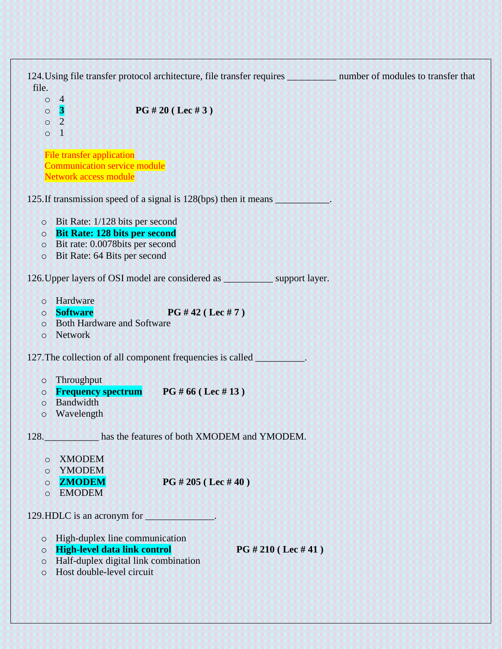124. Using file transfer protocol architecture, file transfer requires number of modules to transfer that file.  $\circ$  4 o **3 PG # 20 ( Lec # 3 )** o 2  $\circ$  1 File transfer application Communication service module Network access module 125.If transmission speed of a signal is 128(bps) then it means \_\_\_\_\_\_\_\_\_\_\_. o Bit Rate: 1/128 bits per second o **Bit Rate: 128 bits per second** o Bit rate: 0.0078bits per second o Bit Rate: 64 Bits per second 126.Upper layers of OSI model are considered as \_\_\_\_\_\_\_\_\_\_ support layer. o Hardware o **Software PG # 42 ( Lec # 7 )** o Both Hardware and Software o Network 127.The collection of all component frequencies is called \_\_\_\_\_\_\_\_\_\_. o Throughput o **Frequency spectrum PG # 66 ( Lec # 13 )** o Bandwidth o Wavelength 128. has the features of both XMODEM and YMODEM. o XMODEM o YMODEM o **ZMODEM PG # 205 ( Lec # 40 )** o EMODEM 129.HDLC is an acronym for o High-duplex line communication o **High-level data link control PG # 210 ( Lec # 41 )** o Half-duplex digital link combination o Host double-level circuit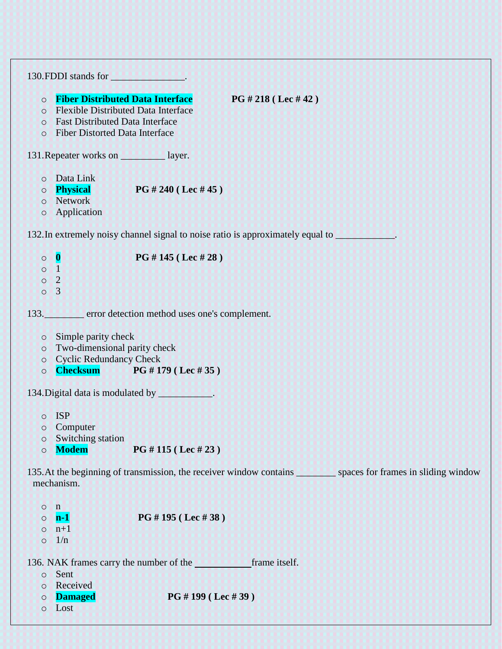| 130. FDDI stands for _________________.                                                                                                                                                                                                      |
|----------------------------------------------------------------------------------------------------------------------------------------------------------------------------------------------------------------------------------------------|
| <b>Fiber Distributed Data Interface</b><br>PG # 218 ( Lee # 42)<br>$\circ$<br><b>Flexible Distributed Data Interface</b><br>$\circ$<br><b>Fast Distributed Data Interface</b><br>$\circ$<br><b>Fiber Distorted Data Interface</b><br>$\circ$ |
| 131. Repeater works on <u>each</u> layer.                                                                                                                                                                                                    |
| Data Link<br>$\circ$<br>Physical<br><b>PG</b> # 240 (Lec # 45)<br>$\circ$<br>Network<br>$\circ$<br>Application<br>$\circ$                                                                                                                    |
| 132. In extremely noisy channel signal to noise ratio is approximately equal to <b>example 20</b> .                                                                                                                                          |
| $\circ$ 0<br>PG #145 (Lec #28)<br>$\mathbf{1}$<br>$\circ$<br>$\overline{2}$<br>$\circ$<br>$\overline{3}$<br>$\circ$                                                                                                                          |
| 133. error detection method uses one's complement.                                                                                                                                                                                           |
| Simple parity check<br>$\circ$<br>Two-dimensional parity check<br>$\circ$<br><b>Cyclic Redundancy Check</b><br>$\circ$<br><b>Checksum PG #179 (Lec #35)</b><br>$\circ$                                                                       |
| 134. Digital data is modulated by ____________.                                                                                                                                                                                              |
| $\circ$ ISP<br>Computer<br>$\circ$<br><b>Switching station</b><br>$\circ$<br><b>Modem</b><br>PG # 115 ( Lee # 23)<br>$\circ$                                                                                                                 |
| 135. At the beginning of transmission, the receiver window contains spaces for frames in sliding window<br>mechanism.                                                                                                                        |
| n<br>$\circ$<br>PG # 195 (Lec # 38)<br>$n-1$<br>$\circ$<br>$n+1$<br>$\circ$<br>1/n<br>$\circ$                                                                                                                                                |
| frame itself.<br>136. NAK frames carry the number of the<br>Sent<br>$\circ$<br>Received<br>$\circ$                                                                                                                                           |
| PG # 199 ( Lee # 39)<br><b>Damaged</b><br>$\circ$<br>Lost<br>$\circ$                                                                                                                                                                         |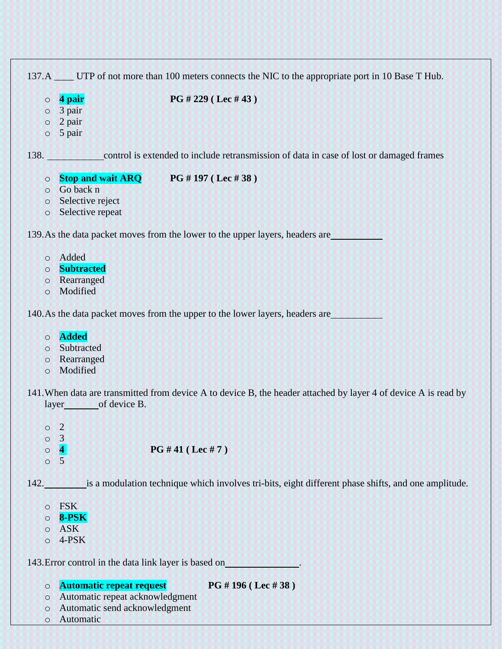|         |                          | 137.A UTP of not more than 100 meters connects the NIC to the appropriate port in 10 Base T Hub.                |
|---------|--------------------------|-----------------------------------------------------------------------------------------------------------------|
| $\circ$ | 4 pair                   | PG # 229 ( Lee # 43)                                                                                            |
| $\circ$ | 3 pair                   |                                                                                                                 |
| $\circ$ | 2 pair                   |                                                                                                                 |
| $\circ$ | 5 pair                   |                                                                                                                 |
|         |                          | 138. Control is extended to include retransmission of data in case of lost or damaged frames                    |
| $\circ$ | <b>Stop and wait ARQ</b> | PG #197 (Lec #38)                                                                                               |
|         | o Go back n              |                                                                                                                 |
| $\circ$ | Selective reject         |                                                                                                                 |
| $\circ$ | Selective repeat         |                                                                                                                 |
|         |                          | 139. As the data packet moves from the lower to the upper layers, headers are                                   |
| $\circ$ | Added                    |                                                                                                                 |
| $\circ$ | <b>Subtracted</b>        |                                                                                                                 |
| $\circ$ | Rearranged               |                                                                                                                 |
| $\circ$ | Modified                 |                                                                                                                 |
|         |                          | 140. As the data packet moves from the upper to the lower layers, headers are                                   |
| $\circ$ | <b>Added</b>             |                                                                                                                 |
| $\circ$ | Subtracted               |                                                                                                                 |
| $\circ$ | Rearranged               |                                                                                                                 |
| $\circ$ | Modified                 |                                                                                                                 |
|         | layer of device B.       | 141. When data are transmitted from device A to device B, the header attached by layer 4 of device A is read by |
| $\circ$ | $\overline{2}$           |                                                                                                                 |
| $\circ$ | $\overline{3}$           |                                                                                                                 |
| $\circ$ | $\vert \vert$            | PG #41 (Lec #7)                                                                                                 |
| $\circ$ | 5                        |                                                                                                                 |
|         |                          |                                                                                                                 |

142. is a modulation technique which involves tri-bits, eight different phase shifts, and one amplitude.

| ∩ | FSK   |
|---|-------|
| ◯ | 8-PSK |
| ∩ | ASK   |

o 4-PSK

143.Error control in the data link layer is based on .

o **Automatic repeat request PG # 196 ( Lec # 38 )**

- o Automatic repeat acknowledgment
- o Automatic send acknowledgment
- o Automatic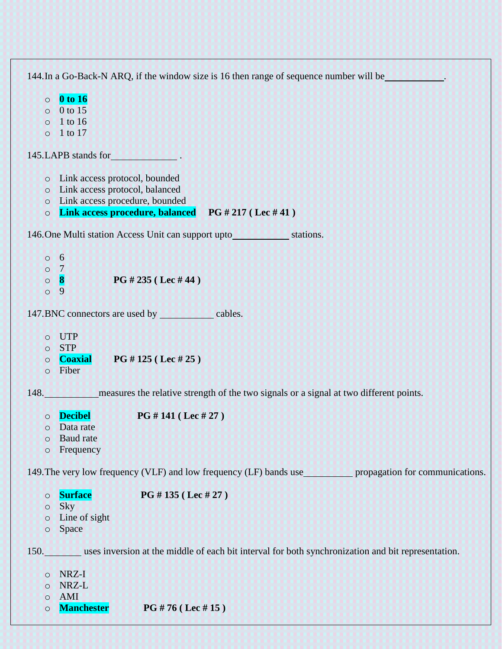144.In a Go-Back-N ARQ, if the window size is 16 then range of sequence number will be . o **0 to 16**  $\circ$  0 to 15 o 1 to 16 o 1 to 17 145.LAPB stands for . o Link access protocol, bounded o Link access protocol, balanced o Link access procedure, bounded o **Link access procedure, balanced PG # 217 ( Lec # 41 )** 146. One Multi station Access Unit can support upto stations.  $\circ$  6 o 7 o **8 PG # 235 ( Lec # 44 )** o 9 147. BNC connectors are used by cables. o UTP o STP o **Coaxial PG # 125 ( Lec # 25 )** o Fiber 148. measures the relative strength of the two signals or a signal at two different points. o **Decibel PG # 141 ( Lec # 27 )** o Data rate o Baud rate o Frequency 149. The very low frequency (VLF) and low frequency (LF) bands use propagation for communications. o **Surface PG # 135 ( Lec # 27 )** o Sky o Line of sight o Space 150. uses inversion at the middle of each bit interval for both synchronization and bit representation. o NRZ-I o NRZ-L o AMI o **Manchester PG # 76 ( Lec # 15 )**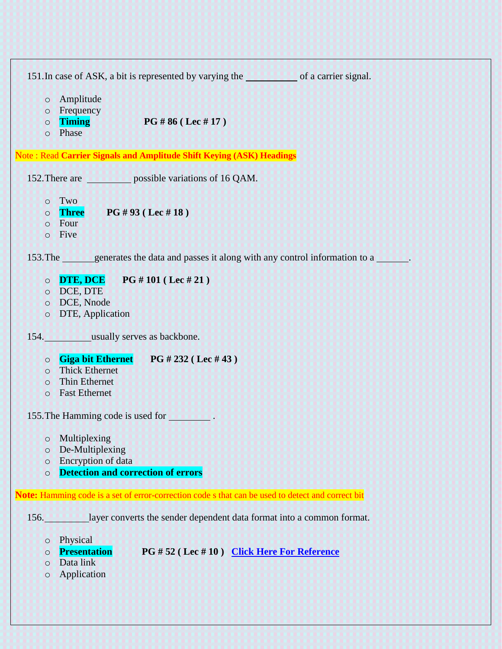| 151. In case of ASK, a bit is represented by varying the service of a carrier signal.                                                                      |
|------------------------------------------------------------------------------------------------------------------------------------------------------------|
| Amplitude<br>$\circ$<br>Frequency<br>$\circ$<br><b>Timing</b><br>PG # 86 (Lec # 17)<br>$\circ$<br>Phase<br>$\circ$                                         |
| Note: Read Carrier Signals and Amplitude Shift Keying (ASK) Headings                                                                                       |
| 152. There are separations of 16 QAM.                                                                                                                      |
| Two<br>$\circ$<br>PG #93 (Lec #18)<br><b>Three</b><br>$\circ$<br>Four<br>$\circ$<br>Five<br>$\circ$                                                        |
| 153. The generates the data and passes it along with any control information to a                                                                          |
| <b>DTE, DCE</b> PG # 101 (Lec # 21)<br>$\circ$<br>DCE, DTE<br>$\circ$<br>DCE, Nnode<br>$\circ$<br>DTE, Application<br>$\circ$                              |
| 154. usually serves as backbone.                                                                                                                           |
| Giga bit Ethernet PG # 232 (Lec # 43)<br>$\circ$<br><b>Thick Ethernet</b><br>$\circ$<br><b>Thin Ethernet</b><br>$\circ$<br><b>Fast Ethernet</b><br>$\circ$ |
| 155. The Hamming code is used for                                                                                                                          |
| Multiplexing<br>$\circ$<br>De-Multiplexing<br>$\circ$<br>Encryption of data<br>$\circ$<br><b>Detection and correction of errors</b><br>$\circ$             |
| Note: Hamming code is a set of error-correction code s that can be used to detect and correct bit                                                          |
| layer converts the sender dependent data format into a common format.<br>156.                                                                              |
| Physical<br>$\circ$<br><b>Presentation</b><br>PG #52 (Lec #10) Click Here For Reference<br>$\circ$<br>Data link<br>$\circ$<br>Application<br>$\circ$       |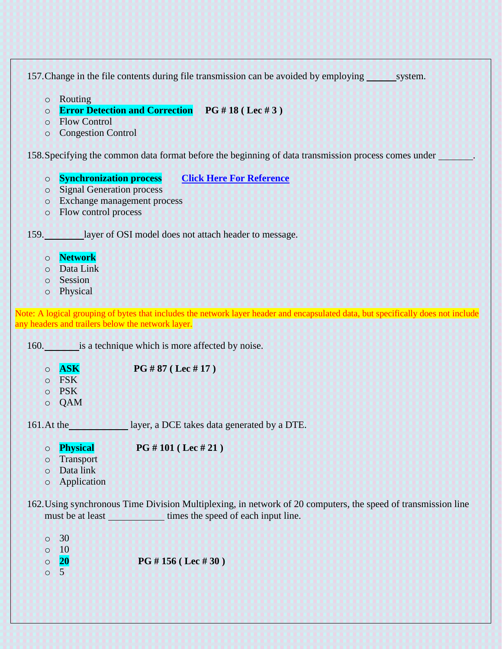157. Change in the file contents during file transmission can be avoided by employing system.

- o Routing
- o **Error Detection and Correction PG # 18 ( Lec # 3 )**
- o Flow Control
- o Congestion Control

158.Specifying the common data format before the beginning of data transmission process comes under .

- o **Synchronization process [Click Here For Reference](http://users.ece.utexas.edu/~valvano/Volume1/E-Book/C11_SerialInterface.htm)**
- o Signal Generation process
- o Exchange management process
- o Flow control process

159. layer of OSI model does not attach header to message.

- o **Network**
- o Data Link
- o Session
- o Physical

Note: A logical grouping of bytes that includes the network layer header and encapsulated data, but specifically does not include any headers and trailers below the network layer.

160. is a technique which is more affected by noise.

o **ASK PG # 87 ( Lec # 17 )** o FSK

- o PSK
- o QAM

161.At the layer, a DCE takes data generated by a DTE.

- o **Physical PG # 101 ( Lec # 21 )**
- o Transport
- o Data link
- o Application

162.Using synchronous Time Division Multiplexing, in network of 20 computers, the speed of transmission line must be at least times the speed of each input line.

 $\circ$  30  $\circ$  10 o **20 PG # 156 ( Lec # 30 )** o 5